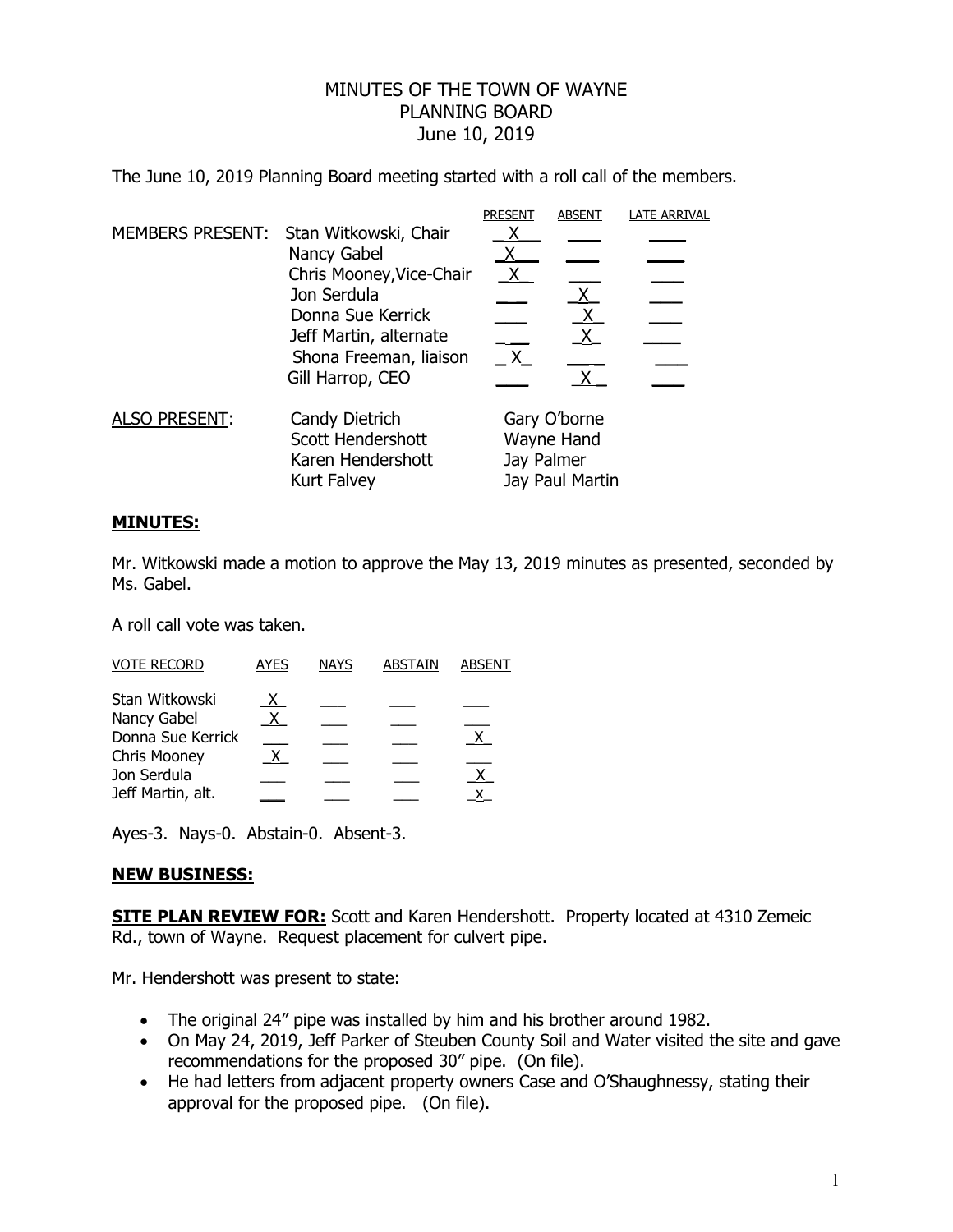## MINUTES OF THE TOWN OF WAYNE PLANNING BOARD June 10, 2019

The June 10, 2019 Planning Board meeting started with a roll call of the members.

|                         |                                                                                                                                                                              | <b>PRESENT</b>                                              | <b>ABSENT</b>     | <b>LATE ARRIVAL</b> |
|-------------------------|------------------------------------------------------------------------------------------------------------------------------------------------------------------------------|-------------------------------------------------------------|-------------------|---------------------|
| <b>MEMBERS PRESENT:</b> | Stan Witkowski, Chair<br>Nancy Gabel<br>Chris Mooney, Vice-Chair<br>Jon Serdula<br>Donna Sue Kerrick<br>Jeff Martin, alternate<br>Shona Freeman, liaison<br>Gill Harrop, CEO |                                                             | $X_{-}$           |                     |
|                         |                                                                                                                                                                              | $\mathsf{X}$                                                | $\mathsf{X}$<br>X |                     |
| <b>ALSO PRESENT:</b>    | Candy Dietrich<br>Scott Hendershott<br>Karen Hendershott<br><b>Kurt Falvey</b>                                                                                               | Gary O'borne<br>Wayne Hand<br>Jay Palmer<br>Jay Paul Martin |                   |                     |

## **MINUTES:**

Mr. Witkowski made a motion to approve the May 13, 2019 minutes as presented, seconded by Ms. Gabel.

A roll call vote was taken.

| <b>VOTE RECORD</b> | AYES | <b>NAYS</b> | ABSTAIN | ABSENT |
|--------------------|------|-------------|---------|--------|
| Stan Witkowski     |      |             |         |        |
| Nancy Gabel        | X    |             |         |        |
| Donna Sue Kerrick  |      |             |         |        |
| Chris Mooney       |      |             |         |        |
| Jon Serdula        |      |             |         |        |
| Jeff Martin, alt.  |      |             |         | x      |

Ayes-3. Nays-0. Abstain-0. Absent-3.

## **NEW BUSINESS:**

**SITE PLAN REVIEW FOR:** Scott and Karen Hendershott. Property located at 4310 Zemeic Rd., town of Wayne. Request placement for culvert pipe.

Mr. Hendershott was present to state:

- The original 24" pipe was installed by him and his brother around 1982.
- On May 24, 2019, Jeff Parker of Steuben County Soil and Water visited the site and gave recommendations for the proposed 30" pipe. (On file).
- He had letters from adjacent property owners Case and O'Shaughnessy, stating their approval for the proposed pipe. (On file).